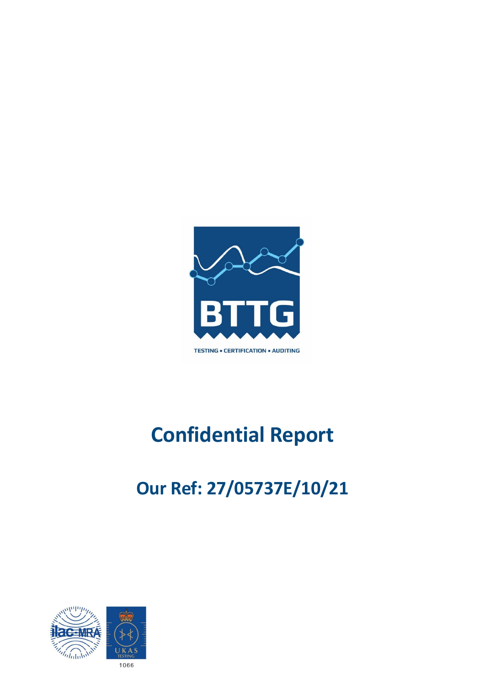

# **Confidential Report**

# **Our Ref: 27/05737E/10/21**

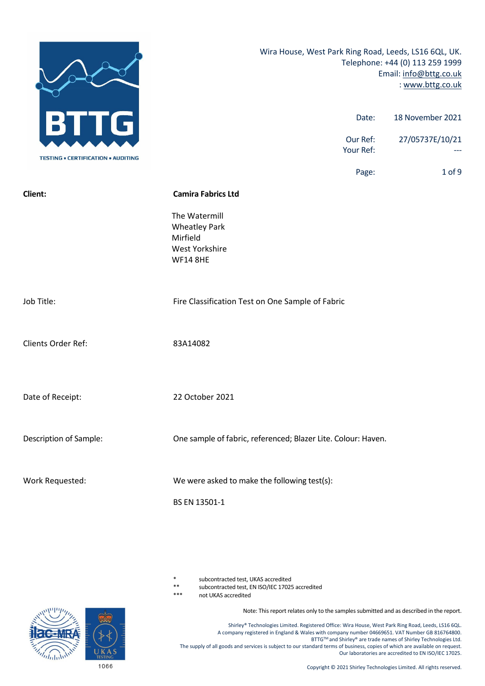

subcontracted test, UKAS accredited

\*\* subcontracted test, EN ISO/IEC 17025 accredited

not UKAS accredited

Note: This report relates only to the samples submitted and as described in the report.

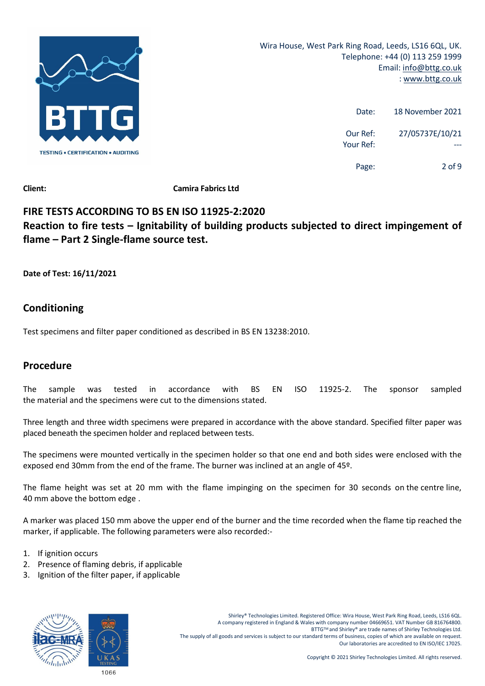

| 18 November 2021 | Date:                 |
|------------------|-----------------------|
| 27/05737E/10/21  | Our Ref:<br>Your Ref: |
| 2 of 9           | Page:                 |

**Client: Camira Fabrics Ltd**

# **FIRE TESTS ACCORDING TO BS EN ISO 11925‐2:2020 Reaction to fire tests – Ignitability of building products subjected to direct impingement of flame – Part 2 Single‐flame source test.**

**Date of Test: 16/11/2021**

# **Conditioning**

Test specimens and filter paper conditioned as described in BS EN 13238:2010.

# **Procedure**

The sample was tested in accordance with BS EN ISO 11925‐2. The sponsor sampled the material and the specimens were cut to the dimensions stated.

Three length and three width specimens were prepared in accordance with the above standard. Specified filter paper was placed beneath the specimen holder and replaced between tests.

The specimens were mounted vertically in the specimen holder so that one end and both sides were enclosed with the exposed end 30mm from the end of the frame. The burner was inclined at an angle of 45º.

The flame height was set at 20 mm with the flame impinging on the specimen for 30 seconds on the centre line, 40 mm above the bottom edge .

A marker was placed 150 mm above the upper end of the burner and the time recorded when the flame tip reached the marker, if applicable. The following parameters were also recorded:‐

- 1. If ignition occurs
- 2. Presence of flaming debris, if applicable
- 3. Ignition of the filter paper, if applicable

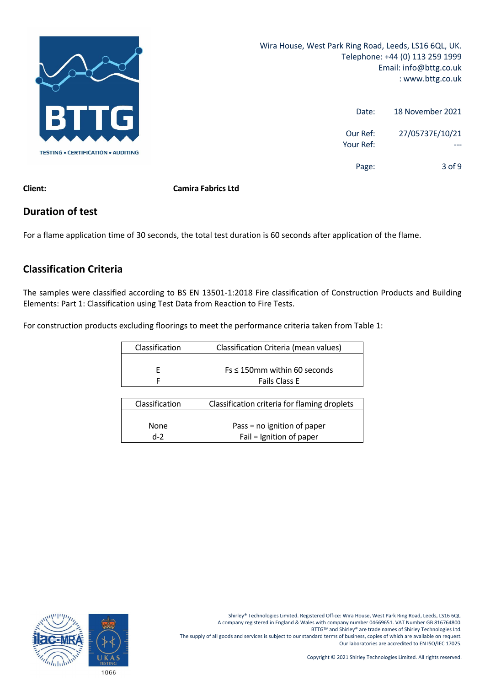

| 18 November 2021 | Date:                 |
|------------------|-----------------------|
| 27/05737E/10/21  | Our Ref:<br>Your Ref: |
| $3$ of 9         | Page:                 |

**Client: Camira Fabrics Ltd**

## **Duration of test**

For a flame application time of 30 seconds, the total test duration is 60 seconds after application of the flame.

# **Classification Criteria**

The samples were classified according to BS EN 13501‐1:2018 Fire classification of Construction Products and Building Elements: Part 1: Classification using Test Data from Reaction to Fire Tests.

For construction products excluding floorings to meet the performance criteria taken from Table 1:

| Classification | Classification Criteria (mean values) |
|----------------|---------------------------------------|
|                |                                       |
|                | $Fs \leq 150$ mm within 60 seconds    |
|                | <b>Fails Class E</b>                  |

| Classification | Classification criteria for flaming droplets |
|----------------|----------------------------------------------|
|                |                                              |
| <b>None</b>    | Pass = no ignition of paper                  |
| $d-2$          | Fail = Ignition of paper                     |

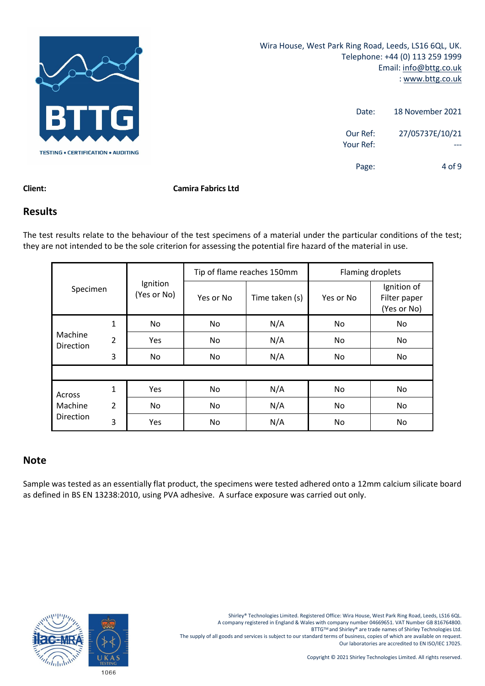

| 18 November 2021 | Date:                 |
|------------------|-----------------------|
| 27/05737E/10/21  | Our Ref:<br>Your Ref: |
| $4$ of 9         | Page:                 |

#### **Client: Camira Fabrics Ltd**

### **Results**

The test results relate to the behaviour of the test specimens of a material under the particular conditions of the test; they are not intended to be the sole criterion for assessing the potential fire hazard of the material in use.

|                      |                |                         | Tip of flame reaches 150mm |                | Flaming droplets |                                            |
|----------------------|----------------|-------------------------|----------------------------|----------------|------------------|--------------------------------------------|
| Specimen             |                | Ignition<br>(Yes or No) | Yes or No                  | Time taken (s) | Yes or No        | Ignition of<br>Filter paper<br>(Yes or No) |
|                      | 1              | No.                     | No                         | N/A            | No               | No.                                        |
| Machine<br>Direction | $\overline{2}$ | <b>Yes</b>              | No                         | N/A            | No               | No                                         |
|                      | 3              | No.                     | No                         | N/A            | No               | No                                         |
|                      |                |                         |                            |                |                  |                                            |
| Across               | 1              | Yes                     | No                         | N/A            | No               | No                                         |
| Machine              | $\overline{2}$ | No.                     | No                         | N/A            | No               | No                                         |
| Direction            | 3              | Yes                     | No                         | N/A            | No               | No                                         |

### **Note**

Sample was tested as an essentially flat product, the specimens were tested adhered onto a 12mm calcium silicate board as defined in BS EN 13238:2010, using PVA adhesive. A surface exposure was carried out only.

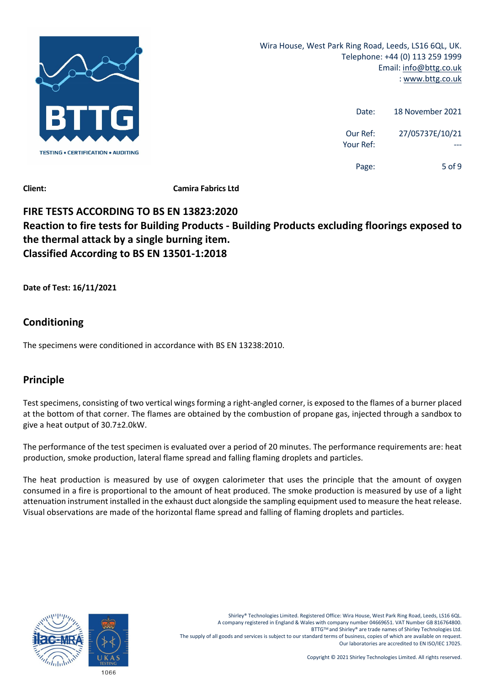

| 18 November 2021 | Date:                 |
|------------------|-----------------------|
| 27/05737E/10/21  | Our Ref:<br>Your Ref: |
| 5 of 9           | Page:                 |

**Client: Camira Fabrics Ltd**

# **FIRE TESTS ACCORDING TO BS EN 13823:2020 Reaction to fire tests for Building Products ‐ Building Products excluding floorings exposed to the thermal attack by a single burning item. Classified According to BS EN 13501‐1:2018**

**Date of Test: 16/11/2021**

# **Conditioning**

The specimens were conditioned in accordance with BS EN 13238:2010.

# **Principle**

Test specimens, consisting of two vertical wings forming a right-angled corner, is exposed to the flames of a burner placed at the bottom of that corner. The flames are obtained by the combustion of propane gas, injected through a sandbox to give a heat output of 30.7±2.0kW.

The performance of the test specimen is evaluated over a period of 20 minutes. The performance requirements are: heat production, smoke production, lateral flame spread and falling flaming droplets and particles.

The heat production is measured by use of oxygen calorimeter that uses the principle that the amount of oxygen consumed in a fire is proportional to the amount of heat produced. The smoke production is measured by use of a light attenuation instrument installed in the exhaust duct alongside the sampling equipment used to measure the heat release. Visual observations are made of the horizontal flame spread and falling of flaming droplets and particles.

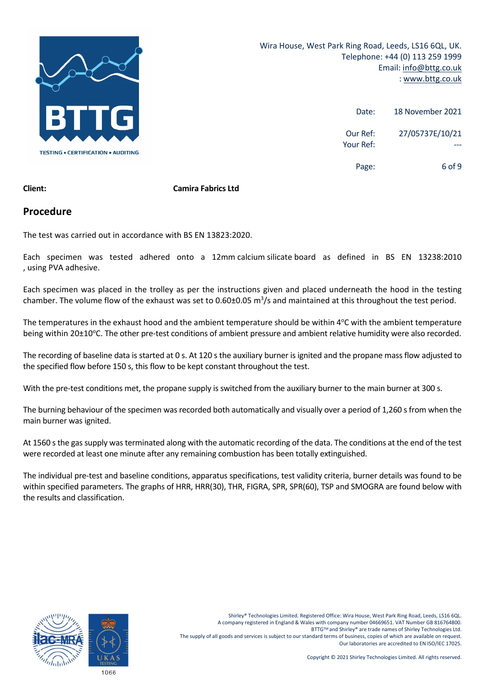

| 18 November 2021 | Date:                 |
|------------------|-----------------------|
| 27/05737E/10/21  | Our Ref:<br>Your Ref: |
| 6 of 9           | Page:                 |

#### **Client: Camira Fabrics Ltd**

#### **Procedure**

The test was carried out in accordance with BS EN 13823:2020.

Each specimen was tested adhered onto a 12mm calcium silicate board as defined in BS EN 13238:2010 , using PVA adhesive.

Each specimen was placed in the trolley as per the instructions given and placed underneath the hood in the testing chamber. The volume flow of the exhaust was set to 0.60±0.05  $m^3/s$  and maintained at this throughout the test period.

The temperatures in the exhaust hood and the ambient temperature should be within 4°C with the ambient temperature being within 20±10°C. The other pre-test conditions of ambient pressure and ambient relative humidity were also recorded.

The recording of baseline data is started at 0 s. At 120 s the auxiliary burner is ignited and the propane mass flow adjusted to the specified flow before 150 s, this flow to be kept constant throughout the test.

With the pre-test conditions met, the propane supply is switched from the auxiliary burner to the main burner at 300 s.

The burning behaviour of the specimen was recorded both automatically and visually over a period of 1,260 s from when the main burner was ignited.

At 1560 s the gas supply was terminated along with the automatic recording of the data. The conditions at the end of the test were recorded at least one minute after any remaining combustion has been totally extinguished.

The individual pre‐test and baseline conditions, apparatus specifications, test validity criteria, burner details was found to be within specified parameters. The graphs of HRR, HRR(30), THR, FIGRA, SPR, SPR(60), TSP and SMOGRA are found below with the results and classification.

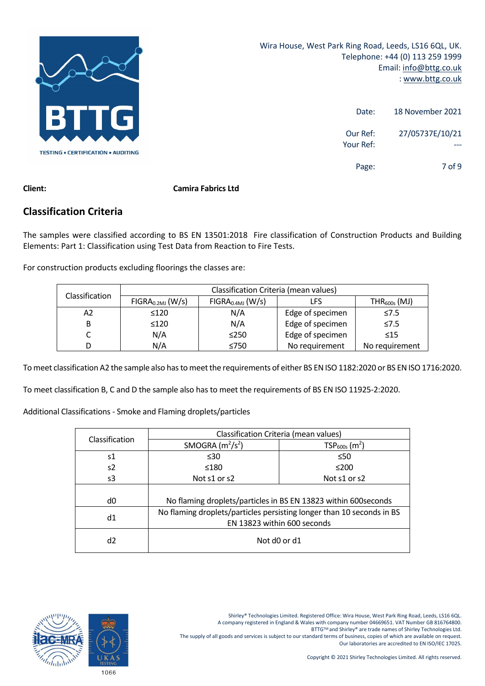

| 18 November 2021 | Date:                 |
|------------------|-----------------------|
| 27/05737E/10/21  | Our Ref:<br>Your Ref: |
| 7 of 9           | Page:                 |

#### **Client: Camira Fabrics Ltd**

### **Classification Criteria**

The samples were classified according to BS EN 13501:2018 Fire classification of Construction Products and Building Elements: Part 1: Classification using Test Data from Reaction to Fire Tests.

For construction products excluding floorings the classes are:

| Classification | Classification Criteria (mean values)                                          |            |                  |                |
|----------------|--------------------------------------------------------------------------------|------------|------------------|----------------|
|                | $FIGRA0.4MJ$ (W/s)<br>FIGRA <sub>0.2MJ</sub> (W/s)<br>$THR_{600s}$ (MJ)<br>LFS |            |                  |                |
| A2             | $\leq 120$                                                                     | N/A        | Edge of specimen | $\leq 7.5$     |
| В              | $\leq 120$                                                                     | N/A        | Edge of specimen | $\leq 7.5$     |
|                | N/A                                                                            | $\leq$ 250 | Edge of specimen | $\leq 15$      |
| D              | N/A                                                                            | ≤750       | No requirement   | No requirement |

To meet classification A2 the sample also has to meet the requirements of either BS EN ISO 1182:2020 or BS EN ISO 1716:2020.

To meet classification B, C and D the sample also has to meet the requirements of BS EN ISO 11925‐2:2020.

Additional Classifications ‐ Smoke and Flaming droplets/particles

| Classification | Classification Criteria (mean values) |                                                                       |  |
|----------------|---------------------------------------|-----------------------------------------------------------------------|--|
|                | SMOGRA $(m^2/s^2)$                    | $TSP600s$ (m <sup>2</sup> )                                           |  |
| s1             | $\leq 30$                             | $\leq 50$                                                             |  |
| s2             | $\leq 180$                            | ≤200                                                                  |  |
| s3             | Not s1 or s2                          | Not s1 or s2                                                          |  |
|                |                                       |                                                                       |  |
| d0             |                                       | No flaming droplets/particles in BS EN 13823 within 600 seconds       |  |
| d1             |                                       | No flaming droplets/particles persisting longer than 10 seconds in BS |  |
|                | EN 13823 within 600 seconds           |                                                                       |  |
| d2             | Not d0 or d1                          |                                                                       |  |

Shirley® Technologies Limited. Registered Office: Wira House, West Park Ring Road, Leeds, LS16 6QL.

A company registered in England & Wales with company number 04669651. VAT Number GB 816764800.

BTTG™ and Shirley® are trade names of Shirley Technologies Ltd.

The supply of all goods and services is subject to our standard terms of business, copies of which are available on request. Our laboratories are accredited to EN ISO/IEC 17025.

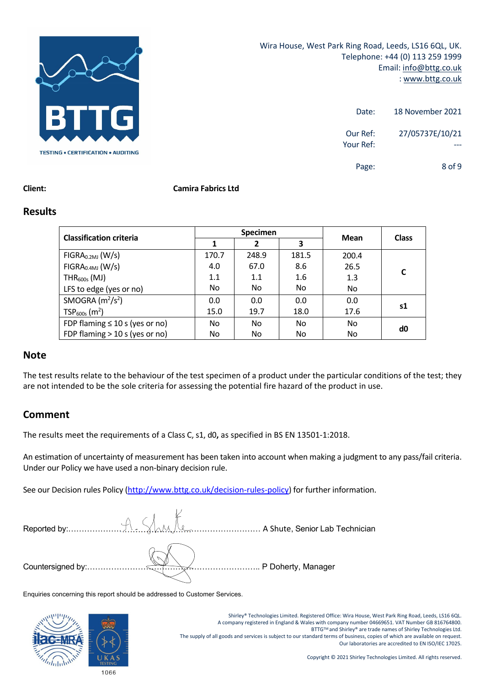

| 18 November 2021              | Date:                 |
|-------------------------------|-----------------------|
| 27/05737E/10/21               | Our Ref:<br>Your Ref: |
| 8 <sub>0</sub> f <sub>9</sub> | Page:                 |

#### **Client: Camira Fabrics Ltd**

#### **Results**

| <b>Classification criteria</b>      | <b>Specimen</b> |       |       | Mean  |              |
|-------------------------------------|-----------------|-------|-------|-------|--------------|
|                                     |                 | 2     | 3     |       | <b>Class</b> |
| FIGRA <sub>0.2MJ</sub> (W/s)        | 170.7           | 248.9 | 181.5 | 200.4 |              |
| FIGRA <sub>0.4MJ</sub> (W/s)        | 4.0             | 67.0  | 8.6   | 26.5  | C            |
| $THR600s$ (MJ)                      | 1.1             | 1.1   | 1.6   | 1.3   |              |
| LFS to edge (yes or no)             | No.             | No    | No    | No    |              |
| SMOGRA $(m^2/s^2)$                  | 0.0             | 0.0   | 0.0   | 0.0   |              |
| $TSP600s$ (m <sup>2</sup> )         | 15.0            | 19.7  | 18.0  | 17.6  | s1           |
| FDP flaming $\leq 10$ s (yes or no) | No.             | No    | No.   | No    | d0           |
| FDP flaming $>$ 10 s (yes or no)    | No              | No    | No    | No    |              |

#### **Note**

The test results relate to the behaviour of the test specimen of a product under the particular conditions of the test; they are not intended to be the sole criteria for assessing the potential fire hazard of the product in use.

## **Comment**

The results meet the requirements of a Class C, s1, d0**,** as specified in BS EN 13501‐1:2018.

An estimation of uncertainty of measurement has been taken into account when making a judgment to any pass/fail criteria. Under our Policy we have used a non‐binary decision rule.

See our Decision rules Policy (http://www.bttg.co.uk/decision-rules-policy) for further information.

|  | P Doherty, Manager |
|--|--------------------|

Enquiries concerning this report should be addressed to Customer Services.